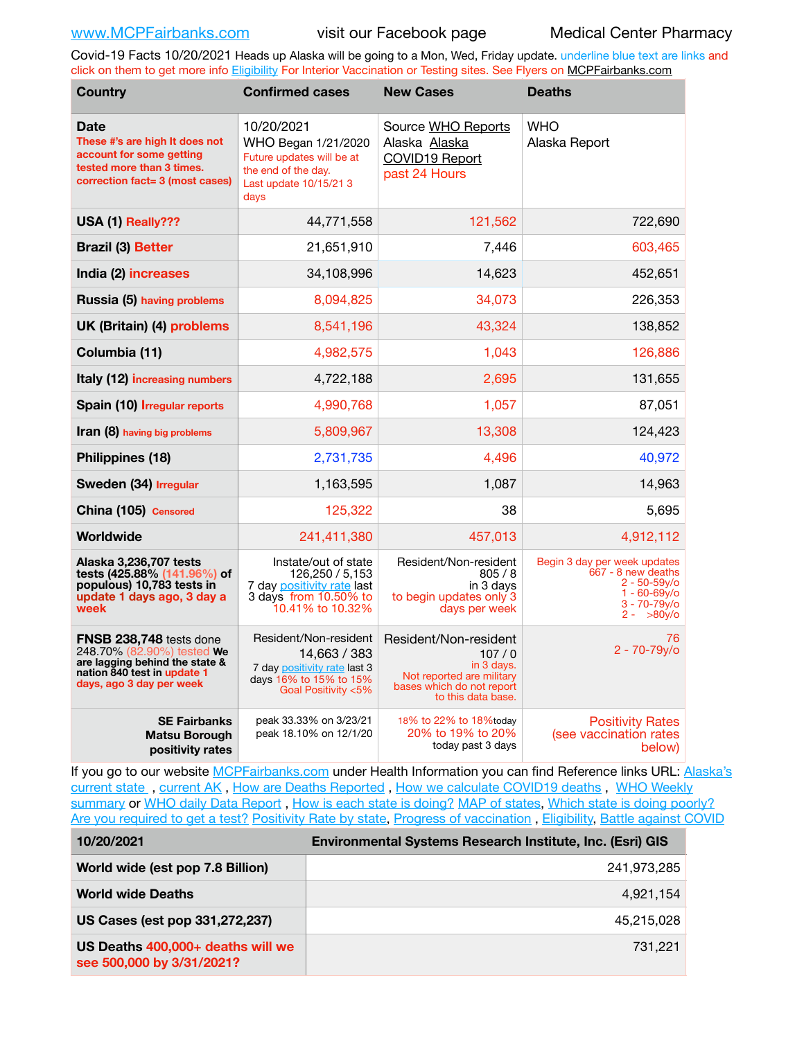Covid-19 Facts 10/20/2021 Heads up Alaska will be going to a Mon, Wed, Friday update. underline blue text are links and click on them to get more info [Eligibility](http://dhss.alaska.gov/dph/Epi/id/Pages/COVID-19/VaccineAvailability.aspx) For Interior Vaccination or Testing sites. See Flyers on [MCPFairbanks.com](http://www.MCPFairbanks.com)

| <b>Country</b>                                                                                                                                     | <b>Confirmed cases</b>                                                                                                  | <b>New Cases</b>                                                                                                             | <b>Deaths</b>                                                                                                                   |
|----------------------------------------------------------------------------------------------------------------------------------------------------|-------------------------------------------------------------------------------------------------------------------------|------------------------------------------------------------------------------------------------------------------------------|---------------------------------------------------------------------------------------------------------------------------------|
| <b>Date</b><br>These #'s are high It does not<br>account for some getting<br>tested more than 3 times.<br>correction fact= 3 (most cases)          | 10/20/2021<br>WHO Began 1/21/2020<br>Future updates will be at<br>the end of the day.<br>Last update 10/15/21 3<br>days | Source WHO Reports<br>Alaska Alaska<br>COVID19 Report<br>past 24 Hours                                                       | <b>WHO</b><br>Alaska Report                                                                                                     |
| USA (1) Really???                                                                                                                                  | 44,771,558                                                                                                              | 121,562                                                                                                                      | 722,690                                                                                                                         |
| <b>Brazil (3) Better</b>                                                                                                                           | 21,651,910                                                                                                              | 7,446                                                                                                                        | 603,465                                                                                                                         |
| India (2) increases                                                                                                                                | 34,108,996                                                                                                              | 14,623                                                                                                                       | 452,651                                                                                                                         |
| Russia (5) having problems                                                                                                                         | 8,094,825                                                                                                               | 34,073                                                                                                                       | 226,353                                                                                                                         |
| UK (Britain) (4) problems                                                                                                                          | 8,541,196                                                                                                               | 43,324                                                                                                                       | 138,852                                                                                                                         |
| Columbia (11)                                                                                                                                      | 4,982,575                                                                                                               | 1,043                                                                                                                        | 126,886                                                                                                                         |
| Italy (12) increasing numbers                                                                                                                      | 4,722,188                                                                                                               | 2,695                                                                                                                        | 131,655                                                                                                                         |
| Spain (10) Irregular reports                                                                                                                       | 4,990,768                                                                                                               | 1,057                                                                                                                        | 87,051                                                                                                                          |
| Iran (8) having big problems                                                                                                                       | 5,809,967                                                                                                               | 13,308                                                                                                                       | 124,423                                                                                                                         |
| Philippines (18)                                                                                                                                   | 2,731,735                                                                                                               | 4,496                                                                                                                        | 40,972                                                                                                                          |
| Sweden (34) Irregular                                                                                                                              | 1,163,595                                                                                                               | 1,087                                                                                                                        | 14,963                                                                                                                          |
| China (105) Censored                                                                                                                               | 125,322                                                                                                                 | 38                                                                                                                           | 5,695                                                                                                                           |
| Worldwide                                                                                                                                          | 241,411,380                                                                                                             | 457,013                                                                                                                      | 4,912,112                                                                                                                       |
| Alaska 3,236,707 tests<br>tests (425.88% (141.96%) of<br>populous) 10,783 tests in<br>update 1 days ago, 3 day a<br>week                           | Instate/out of state<br>126,250 / 5,153<br>7 day positivity rate last<br>3 days from 10.50% to<br>10.41% to 10.32%      | Resident/Non-resident<br>805/8<br>in 3 days<br>to begin updates only 3<br>days per week                                      | Begin 3 day per week updates<br>667 - 8 new deaths<br>$2 - 50 - 59$ y/o<br>$1 - 60 - 69y$ o<br>$3 - 70 - 79y$ o<br>$2 - 80v$ /o |
| FNSB 238,748 tests done<br>248.70% (82.90%) tested We<br>are lagging behind the state &<br>nation 840 test in update 1<br>days, ago 3 day per week | Resident/Non-resident<br>14,663 / 383<br>7 day positivity rate last 3<br>days 16% to 15% to 15%<br>Goal Positivity <5%  | Resident/Non-resident<br>107/0<br>in 3 days.<br>Not reported are military<br>bases which do not report<br>to this data base. | 76<br>$2 - 70 - 79$ <sub>V</sub> /o                                                                                             |
| <b>SE Fairbanks</b><br>Matsu Borough<br>positivity rates                                                                                           | peak 33.33% on 3/23/21<br>peak 18.10% on 12/1/20                                                                        | 18% to 22% to 18%today<br>20% to 19% to 20%<br>today past 3 days                                                             | <b>Positivity Rates</b><br>(see vaccination rates<br>below)                                                                     |

If you go to our website [MCPFairbanks.com](http://www.MCPFairbanks.com) under Health Information you can find Reference links URL: Alaska's [current state](https://coronavirus-response-alaska-dhss.hub.arcgis.com) , [current AK](http://dhss.alaska.gov/dph/Epi/id/Pages/COVID-19/communications.aspx#cases) , [How are Deaths Reported](http://dhss.alaska.gov/dph/Epi/id/Pages/COVID-19/deathcounts.aspx) , [How we calculate COVID19 deaths](https://coronavirus-response-alaska-dhss.hub.arcgis.com/search?collection=Document&groupIds=41ccb3344ebc4bd682c74073eba21f42) , [WHO Weekly](http://www.who.int)  [summary](http://www.who.int) or [WHO daily Data Report](https://covid19.who.int/table), [How is each state is doing?](https://www.msn.com/en-us/news/us/state-by-state-coronavirus-news/ar-BB13E1PX?fbclid=IwAR0_OBJH7lSyTN3ug_MsOeFnNgB1orTa9OBgilKJ7dhnwlVvHEsptuKkj1c) [MAP of states,](https://www.nationalgeographic.com/science/graphics/graphic-tracking-coronavirus-infections-us?cmpid=org=ngp::mc=crm-email::src=ngp::cmp=editorial::add=SpecialEdition_20210305&rid=B9A6DF5992658E8E35CE023113CFEA4C) [Which state is doing poorly?](https://bestlifeonline.com/covid-outbreak-your-state/?utm_source=nsltr&utm_medium=email&utm_content=covid-outbreak-your-state&utm_campaign=launch) [Are you required to get a test?](http://dhss.alaska.gov/dph/Epi/id/SiteAssets/Pages/HumanCoV/Whattodoafteryourtest.pdf) [Positivity Rate by state](https://coronavirus.jhu.edu/testing/individual-states/alaska), Progress of vaccination, [Eligibility,](http://dhss.alaska.gov/dph/Epi/id/Pages/COVID-19/VaccineAvailability.aspx) [Battle against COVID](https://www.nationalgeographic.com/science/graphics/graphic-tracking-coronavirus-infections-us?cmpid=org=ngp::mc=crm-email::src=ngp::cmp=editorial::add=SpecialEdition_20210219&rid=B9A6DF5992658E8E35CE023113CFEA4C)

| 10/20/2021                                                     | <b>Environmental Systems Research Institute, Inc. (Esri) GIS</b> |  |
|----------------------------------------------------------------|------------------------------------------------------------------|--|
| World wide (est pop 7.8 Billion)                               | 241,973,285                                                      |  |
| <b>World wide Deaths</b>                                       | 4.921.154                                                        |  |
| US Cases (est pop 331,272,237)                                 | 45,215,028                                                       |  |
| US Deaths 400,000+ deaths will we<br>see 500,000 by 3/31/2021? | 731.221                                                          |  |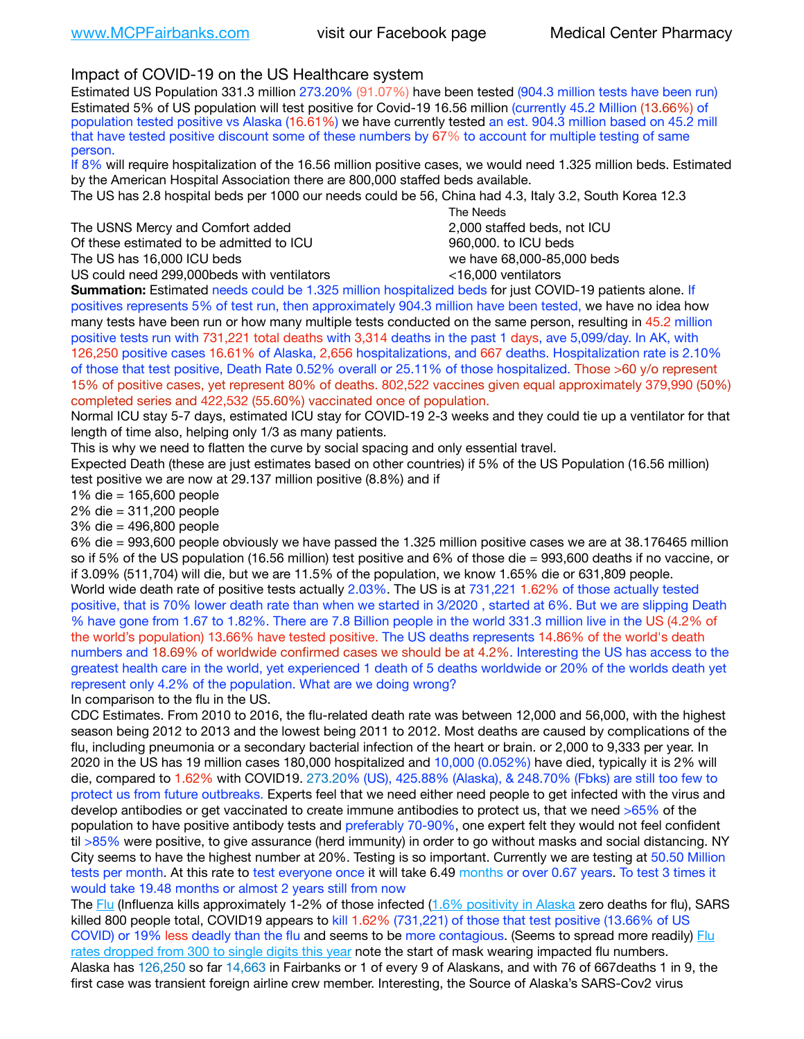## Impact of COVID-19 on the US Healthcare system

Estimated US Population 331.3 million 273.20% (91.07%) have been tested (904.3 million tests have been run) Estimated 5% of US population will test positive for Covid-19 16.56 million (currently 45.2 Million (13.66%) of population tested positive vs Alaska (16.61%) we have currently tested an est. 904.3 million based on 45.2 mill that have tested positive discount some of these numbers by 67% to account for multiple testing of same person.

If 8% will require hospitalization of the 16.56 million positive cases, we would need 1.325 million beds. Estimated by the American Hospital Association there are 800,000 staffed beds available.

The US has 2.8 hospital beds per 1000 our needs could be 56, China had 4.3, Italy 3.2, South Korea 12.3

The USNS Mercy and Comfort added 2,000 staffed beds, not ICU Of these estimated to be admitted to ICU **beds** and the set of the set of the 960,000, to ICU beds The US has 16,000 ICU beds we have 68,000-85,000 beds

 The Needs US could need 299,000 beds with ventilators  $\leq$ 16,000 ventilators

**Summation:** Estimated needs could be 1.325 million hospitalized beds for just COVID-19 patients alone. If positives represents 5% of test run, then approximately 904.3 million have been tested, we have no idea how many tests have been run or how many multiple tests conducted on the same person, resulting in 45.2 million positive tests run with 731,221 total deaths with 3,314 deaths in the past 1 days, ave 5,099/day. In AK, with 126,250 positive cases 16.61% of Alaska, 2,656 hospitalizations, and 667 deaths. Hospitalization rate is 2.10% of those that test positive, Death Rate 0.52% overall or 25.11% of those hospitalized. Those >60 y/o represent 15% of positive cases, yet represent 80% of deaths. 802,522 vaccines given equal approximately 379,990 (50%) completed series and 422,532 (55.60%) vaccinated once of population.

Normal ICU stay 5-7 days, estimated ICU stay for COVID-19 2-3 weeks and they could tie up a ventilator for that length of time also, helping only 1/3 as many patients.

This is why we need to flatten the curve by social spacing and only essential travel.

Expected Death (these are just estimates based on other countries) if 5% of the US Population (16.56 million) test positive we are now at 29.137 million positive (8.8%) and if

1% die = 165,600 people

2% die = 311,200 people

3% die = 496,800 people

6% die = 993,600 people obviously we have passed the 1.325 million positive cases we are at 38.176465 million so if 5% of the US population (16.56 million) test positive and 6% of those die = 993,600 deaths if no vaccine, or if 3.09% (511,704) will die, but we are 11.5% of the population, we know 1.65% die or 631,809 people. World wide death rate of positive tests actually 2.03%. The US is at 731,221 1.62% of those actually tested positive, that is 70% lower death rate than when we started in 3/2020 , started at 6%. But we are slipping Death % have gone from 1.67 to 1.82%. There are 7.8 Billion people in the world 331.3 million live in the US (4.2% of the world's population) 13.66% have tested positive. The US deaths represents 14.86% of the world's death numbers and 18.69% of worldwide confirmed cases we should be at 4.2%. Interesting the US has access to the greatest health care in the world, yet experienced 1 death of 5 deaths worldwide or 20% of the worlds death yet represent only 4.2% of the population. What are we doing wrong?

In comparison to the flu in the US.

CDC Estimates. From 2010 to 2016, the flu-related death rate was between 12,000 and 56,000, with the highest season being 2012 to 2013 and the lowest being 2011 to 2012. Most deaths are caused by complications of the flu, including pneumonia or a secondary bacterial infection of the heart or brain. or 2,000 to 9,333 per year. In 2020 in the US has 19 million cases 180,000 hospitalized and 10,000 (0.052%) have died, typically it is 2% will die, compared to 1.62% with COVID19. 273.20% (US), 425.88% (Alaska), & 248.70% (Fbks) are still too few to protect us from future outbreaks. Experts feel that we need either need people to get infected with the virus and develop antibodies or get vaccinated to create immune antibodies to protect us, that we need >65% of the population to have positive antibody tests and preferably 70-90%, one expert felt they would not feel confident til >85% were positive, to give assurance (herd immunity) in order to go without masks and social distancing. NY City seems to have the highest number at 20%. Testing is so important. Currently we are testing at 50.50 Million tests per month. At this rate to test everyone once it will take 6.49 months or over 0.67 years. To test 3 times it would take 19.48 months or almost 2 years still from now

The [Flu](https://lnks.gd/l/eyJhbGciOiJIUzI1NiJ9.eyJidWxsZXRpbl9saW5rX2lkIjoxMDMsInVyaSI6ImJwMjpjbGljayIsImJ1bGxldGluX2lkIjoiMjAyMTAyMjYuMzYwNDA3NTEiLCJ1cmwiOiJodHRwczovL3d3dy5jZGMuZ292L2ZsdS93ZWVrbHkvb3ZlcnZpZXcuaHRtIn0.ePMA_hsZ-pTnhWSyg1gHvHWYTu2XceVOt0JejxvP1WE/s/500544915/br/98428119752-l) (Influenza kills approximately 1-2% of those infected ([1.6% positivity in Alaska](http://dhss.alaska.gov/dph/Epi/id/SiteAssets/Pages/influenza/trends/Snapshot.pdf) zero deaths for flu), SARS killed 800 people total, COVID19 appears to kill 1.62% (731,221) of those that test positive (13.66% of US COVID) or 19% less deadly than the flu and seems to be more contagious. (Seems to spread more readily) Flu [rates dropped from 300 to single digits this year](https://lnks.gd/l/eyJhbGciOiJIUzI1NiJ9.eyJidWxsZXRpbl9saW5rX2lkIjoxMDEsInVyaSI6ImJwMjpjbGljayIsImJ1bGxldGluX2lkIjoiMjAyMTAyMjYuMzYwNDA3NTEiLCJ1cmwiOiJodHRwOi8vZGhzcy5hbGFza2EuZ292L2RwaC9FcGkvaWQvUGFnZXMvaW5mbHVlbnphL2ZsdWluZm8uYXNweCJ9.oOe3nt2fww6XpsNhb4FZfmtPfPa-irGaldpkURBJhSo/s/500544915/br/98428119752-l) note the start of mask wearing impacted flu numbers. Alaska has 126,250 so far 14,663 in Fairbanks or 1 of every 9 of Alaskans, and with 76 of 667deaths 1 in 9, the first case was transient foreign airline crew member. Interesting, the Source of Alaska's SARS-Cov2 virus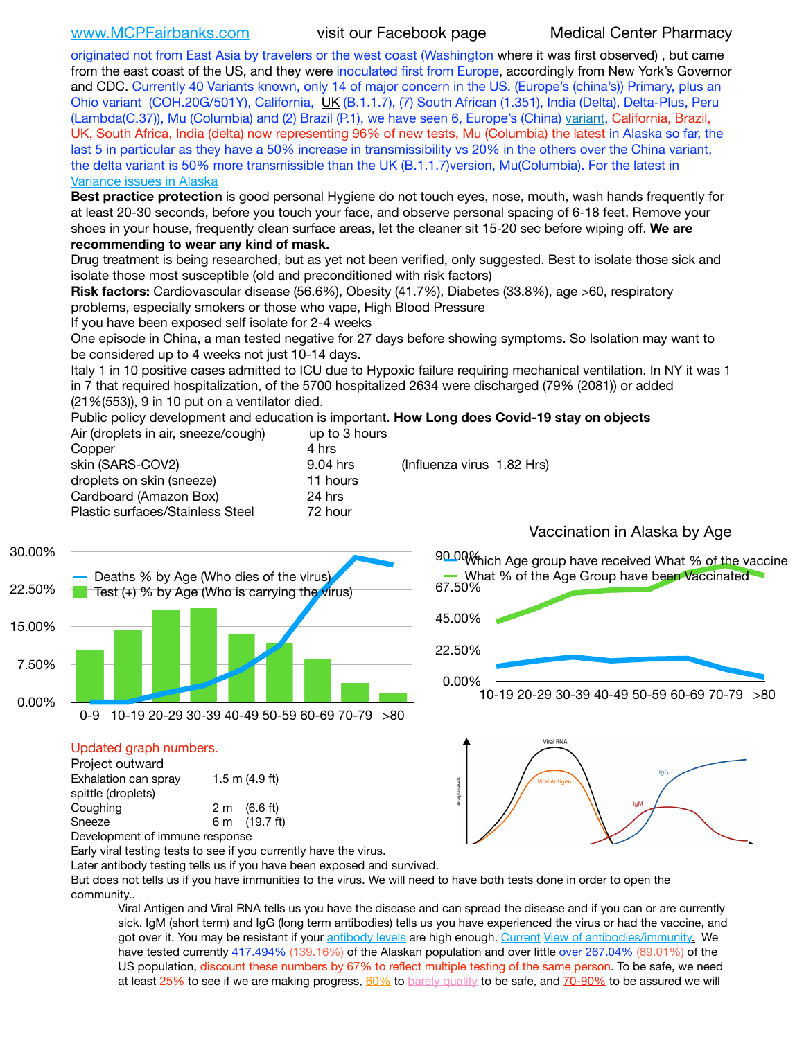[www.MCPFairbanks.com](http://www.MCPFairbanks.com) visit our Facebook page Medical Center Pharmacy

originated not from East Asia by travelers or the west coast (Washington where it was first observed) , but came from the east coast of the US, and they were inoculated first from Europe, accordingly from New York's Governor and CDC. Currently 40 Variants known, only 14 of major concern in the US. (Europe's (china's)) Primary, plus an Ohio variant (COH.20G/501Y), California, [UK](https://www.cdc.gov/coronavirus/2019-ncov/transmission/variant-cases.html) (B.1.1.7), (7) South African (1.351), India (Delta), Delta-Plus, Peru (Lambda(C.37)), Mu (Columbia) and (2) Brazil (P.1), we have seen 6, Europe's (China) [variant,](https://www.webmd.com/lung/news/20210318/cdc-who-create-threat-levels-for-covid-variants?ecd=wnl_cvd_031921&ctr=wnl-cvd-031921&mb=kYbf7DsHb7YGjh/1RUkcAW0T6iorImAU1TDZh18RYs0=_Support_titleLink_2) California, Brazil, UK, South Africa, India (delta) now representing 96% of new tests, Mu (Columbia) the latest in Alaska so far, the last 5 in particular as they have a 50% increase in transmissibility vs 20% in the others over the China variant, the delta variant is 50% more transmissible than the UK (B.1.1.7)version, Mu(Columbia). For the latest in [Variance issues in Alaska](https://lnks.gd/l/eyJhbGciOiJIUzI1NiJ9.eyJidWxsZXRpbl9saW5rX2lkIjoxMDgsInVyaSI6ImJwMjpjbGljayIsImJ1bGxldGluX2lkIjoiMjAyMTA4MDUuNDQxMzM4NzEiLCJ1cmwiOiJodHRwOi8vZGhzcy5hbGFza2EuZ292L2RwaC9FcGkvaWQvc2l0ZWFzc2V0cy9wYWdlcy9odW1hbmNvdi9BS1NlcUNvbl9HZW5vbWljU2l0dWF0aW9uUmVwb3J0LnBkZiJ9.wjCZc7vYm_CIgdjPTJyJ9ehoQjtub_KeZLTKgTIA69A/s/500544915/br/110405970878-l)

**Best practice protection** is good personal Hygiene do not touch eyes, nose, mouth, wash hands frequently for at least 20-30 seconds, before you touch your face, and observe personal spacing of 6-18 feet. Remove your shoes in your house, frequently clean surface areas, let the cleaner sit 15-20 sec before wiping off. **We are recommending to wear any kind of mask.**

Drug treatment is being researched, but as yet not been verified, only suggested. Best to isolate those sick and isolate those most susceptible (old and preconditioned with risk factors)

**Risk factors:** Cardiovascular disease (56.6%), Obesity (41.7%), Diabetes (33.8%), age >60, respiratory problems, especially smokers or those who vape, High Blood Pressure

If you have been exposed self isolate for 2-4 weeks

One episode in China, a man tested negative for 27 days before showing symptoms. So Isolation may want to be considered up to 4 weeks not just 10-14 days.

Italy 1 in 10 positive cases admitted to ICU due to Hypoxic failure requiring mechanical ventilation. In NY it was 1 in 7 that required hospitalization, of the 5700 hospitalized 2634 were discharged (79% (2081)) or added (21%(553)), 9 in 10 put on a ventilator died.

Public policy development and education is important. **How Long does Covid-19 stay on objects** Air (droplets in air, sneeze/cough) up to 3 hours

| $\frac{1}{2}$ and $\frac{1}{2}$ and $\frac{1}{2}$ and $\frac{1}{2}$ and $\frac{1}{2}$ and $\frac{1}{2}$ and $\frac{1}{2}$ are $\frac{1}{2}$ | $W = 100$  |                            |
|---------------------------------------------------------------------------------------------------------------------------------------------|------------|----------------------------|
| Copper                                                                                                                                      | 4 hrs      |                            |
| skin (SARS-COV2)                                                                                                                            | $9.04$ hrs | (Influenza virus 1.82 Hrs) |
| droplets on skin (sneeze)                                                                                                                   | 11 hours   |                            |
| Cardboard (Amazon Box)                                                                                                                      | 24 hrs     |                            |
| Plastic surfaces/Stainless Steel                                                                                                            | 72 hour    |                            |
|                                                                                                                                             |            |                            |



### Updated graph numbers.

| Project outward                |  |                        |  |  |
|--------------------------------|--|------------------------|--|--|
| Exhalation can spray           |  | 1.5 m $(4.9 ft)$       |  |  |
| spittle (droplets)             |  |                        |  |  |
| Coughing                       |  | $2 \text{ m}$ (6.6 ft) |  |  |
| Sneeze                         |  | 6 m (19.7 ft)          |  |  |
| Development of immune response |  |                        |  |  |



Early viral testing tests to see if you currently have the virus.

Later antibody testing tells us if you have been exposed and survived.

But does not tells us if you have immunities to the virus. We will need to have both tests done in order to open the community..

Viral Antigen and Viral RNA tells us you have the disease and can spread the disease and if you can or are currently sick. IgM (short term) and IgG (long term antibodies) tells us you have experienced the virus or had the vaccine, and got over it. You may be resistant if your [antibody levels](https://www.cdc.gov/coronavirus/2019-ncov/lab/resources/antibody-tests.html) are high enough. [Current](https://l.facebook.com/l.php?u=https://www.itv.com/news/2020-10-26/covid-19-antibody-levels-reduce-over-time-study-finds?fbclid=IwAR3Dapzh1qIH1EIOdUQI2y8THf7jfA4KBCaJz8Qg-8xe1YsrR4nsAHDIXSY&h=AT30nut8pkqp0heVuz5W2rT2WFFm-2Ab52BsJxZZCNlGsX58IpPkuVEPULbIUV_M16MAukx1Kwb657DPXxsgDN1rpOQ4gqBtQsmVYiWpnHPJo2RQsU6CPMd14lgLnQnFWxfVi6zvmw&__tn__=-UK-R&c%5B0%5D=AT1GaRAfR_nGAyqcn7TI1-PpvqOqEKXHnz6TDWvRStMnOSH7boQDvTiwTOc6VId9UES6LKiOmm2m88wKCoolkJyOFvakt2Z1Mw8toYWGGoWW23r0MNVBl7cYJXB_UOvGklNHaNnaNr1_S7NhT3BSykNOBg) [View of antibodies/immunity](https://www.livescience.com/antibodies.html)[.](https://www.itv.com/news/2020-10-26/covid-19-antibody-levels-reduce-over-time-study-finds) We have tested currently 417.494% (139.16%) of the Alaskan population and over little over 267.04% (89.01%) of the US population, discount these numbers by 67% to reflect multiple testing of the same person. To be safe, we need at least 25% to see if we are making progress, [60%](https://www.jhsph.edu/covid-19/articles/achieving-herd-immunity-with-covid19.html) to [barely qualify](https://www.nature.com/articles/d41586-020-02948-4) to be safe, and [70-90%](https://www.mayoclinic.org/herd-immunity-and-coronavirus/art-20486808) to be assured we will

### Vaccination in Alaska by Age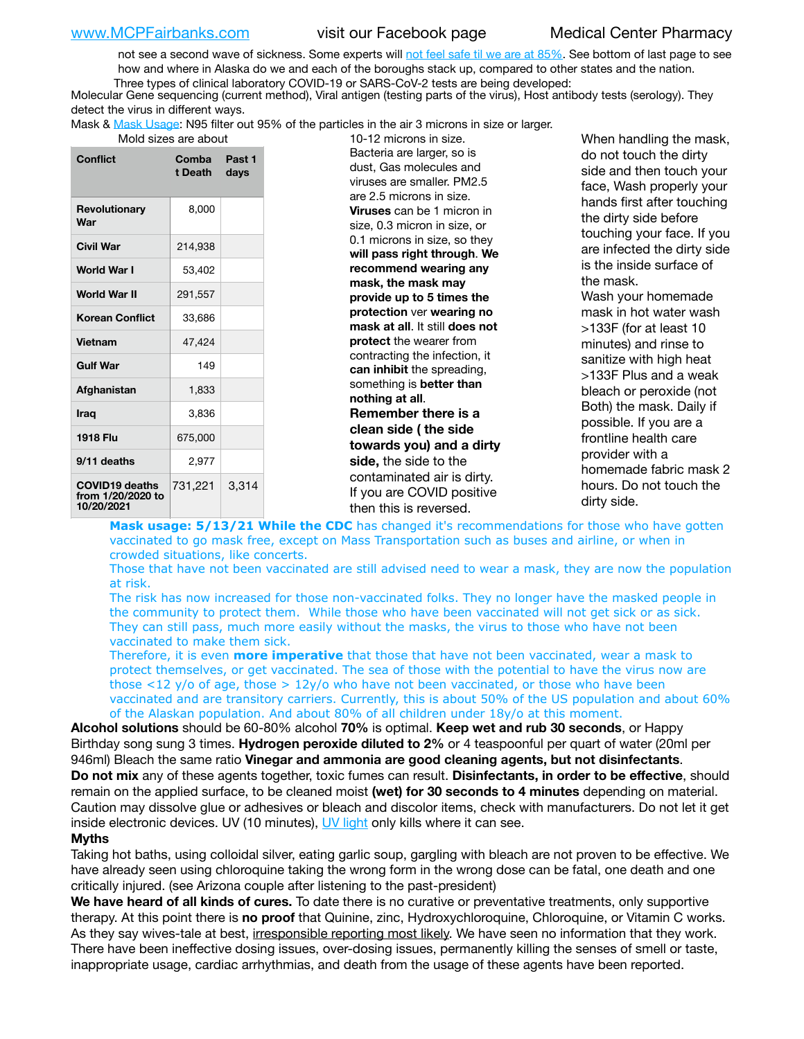not see a second wave of sickness. Some experts will [not feel safe til we are at 85%.](https://www.bannerhealth.com/healthcareblog/teach-me/what-is-herd-immunity) See bottom of last page to see how and where in Alaska do we and each of the boroughs stack up, compared to other states and the nation. Three types of clinical laboratory COVID-19 or SARS-CoV-2 tests are being developed:

 Molecular Gene sequencing (current method), Viral antigen (testing parts of the virus), Host antibody tests (serology). They detect the virus in different ways.

Mask & [Mask Usage:](https://www.nationalgeographic.com/history/2020/03/how-cities-flattened-curve-1918-spanish-flu-pandemic-coronavirus/) N95 filter out 95% of the particles in the air 3 microns in size or larger.

Mold sizes are about 10-12 microns in size.

| <b>Conflict</b>                                          | Comba<br>t Death | Past 1<br>days |
|----------------------------------------------------------|------------------|----------------|
| Revolutionary<br>War                                     | 8,000            |                |
| <b>Civil War</b>                                         | 214,938          |                |
| World War I                                              | 53,402           |                |
| World War II                                             | 291,557          |                |
| <b>Korean Conflict</b>                                   | 33.686           |                |
| <b>Vietnam</b>                                           | 47,424           |                |
| <b>Gulf War</b>                                          | 149              |                |
| Afghanistan                                              | 1,833            |                |
| <b>Iraq</b>                                              | 3,836            |                |
| 1918 Flu                                                 | 675,000          |                |
| 9/11 deaths                                              | 2,977            |                |
| <b>COVID19 deaths</b><br>from 1/20/2020 to<br>10/20/2021 | 731,221          | 3,314          |

Bacteria are larger, so is dust, Gas molecules and viruses are smaller. PM2.5 are 2.5 microns in size. **Viruses** can be 1 micron in size, 0.3 micron in size, or 0.1 microns in size, so they **will pass right through**. **We recommend wearing any mask, the mask may provide up to 5 times the protection** ver **wearing no mask at all**. It still **does not protect** the wearer from contracting the infection, it **can inhibit** the spreading, something is **better than nothing at all**. **Remember there is a clean side ( the side towards you) and a dirty side,** the side to the contaminated air is dirty. If you are COVID positive then this is reversed.

When handling the mask, do not touch the dirty side and then touch your face, Wash properly your hands first after touching the dirty side before touching your face. If you are infected the dirty side is the inside surface of the mask. Wash your homemade mask in hot water wash >133F (for at least 10 minutes) and rinse to sanitize with high heat >133F Plus and a weak bleach or peroxide (not Both) the mask. Daily if possible. If you are a frontline health care provider with a homemade fabric mask 2 hours. Do not touch the dirty side.

**Mask usage: 5/13/21 While the CDC** has changed it's recommendations for those who have gotten vaccinated to go mask free, except on Mass Transportation such as buses and airline, or when in crowded situations, like concerts.

Those that have not been vaccinated are still advised need to wear a mask, they are now the population at risk.

The risk has now increased for those non-vaccinated folks. They no longer have the masked people in the community to protect them. While those who have been vaccinated will not get sick or as sick. They can still pass, much more easily without the masks, the virus to those who have not been vaccinated to make them sick.

Therefore, it is even **more imperative** that those that have not been vaccinated, wear a mask to protect themselves, or get vaccinated. The sea of those with the potential to have the virus now are those <12 y/o of age, those >  $12y$ /o who have not been vaccinated, or those who have been vaccinated and are transitory carriers. Currently, this is about 50% of the US population and about 60% of the Alaskan population. And about 80% of all children under 18y/o at this moment.

**Alcohol solutions** should be 60-80% alcohol **70%** is optimal. **Keep wet and rub 30 seconds**, or Happy Birthday song sung 3 times. **Hydrogen peroxide diluted to 2%** or 4 teaspoonful per quart of water (20ml per 946ml) Bleach the same ratio **Vinegar and ammonia are good cleaning agents, but not disinfectants**. **Do not mix** any of these agents together, toxic fumes can result. **Disinfectants, in order to be effective**, should remain on the applied surface, to be cleaned moist **(wet) for 30 seconds to 4 minutes** depending on material. Caution may dissolve glue or adhesives or bleach and discolor items, check with manufacturers. Do not let it get inside electronic devices. UV (10 minutes), [UV light](http://www.docreviews.me/best-uv-boxes-2020/?fbclid=IwAR3bvFtXB48OoBBSvYvTEnKuHNPbipxM6jUo82QUSw9wckxjC7wwRZWabGw) only kills where it can see.

### **Myths**

Taking hot baths, using colloidal silver, eating garlic soup, gargling with bleach are not proven to be effective. We have already seen using chloroquine taking the wrong form in the wrong dose can be fatal, one death and one critically injured. (see Arizona couple after listening to the past-president)

**We have heard of all kinds of cures.** To date there is no curative or preventative treatments, only supportive therapy. At this point there is **no proof** that Quinine, zinc, Hydroxychloroquine, Chloroquine, or Vitamin C works. As they say wives-tale at best, irresponsible reporting most likely. We have seen no information that they work. There have been ineffective dosing issues, over-dosing issues, permanently killing the senses of smell or taste, inappropriate usage, cardiac arrhythmias, and death from the usage of these agents have been reported.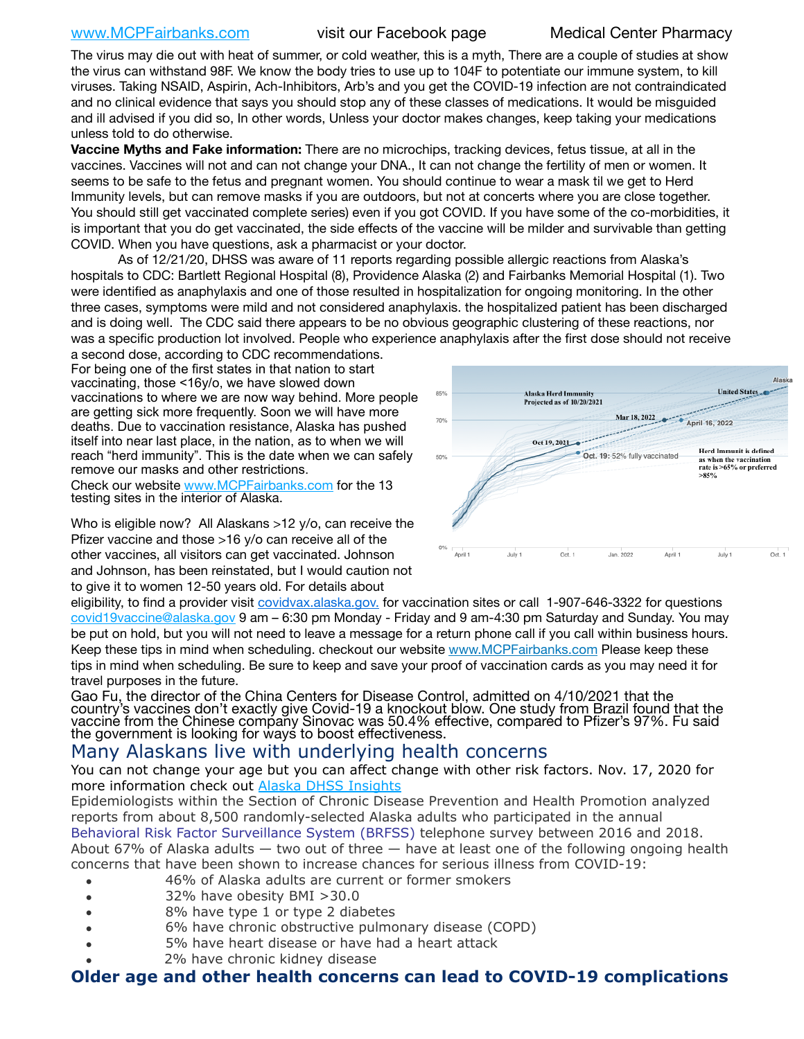## [www.MCPFairbanks.com](http://www.MCPFairbanks.com) visit our Facebook page Medical Center Pharmacy

The virus may die out with heat of summer, or cold weather, this is a myth, There are a couple of studies at show the virus can withstand 98F. We know the body tries to use up to 104F to potentiate our immune system, to kill viruses. Taking NSAID, Aspirin, Ach-Inhibitors, Arb's and you get the COVID-19 infection are not contraindicated and no clinical evidence that says you should stop any of these classes of medications. It would be misguided and ill advised if you did so, In other words, Unless your doctor makes changes, keep taking your medications unless told to do otherwise.

**Vaccine Myths and Fake information:** There are no microchips, tracking devices, fetus tissue, at all in the vaccines. Vaccines will not and can not change your DNA., It can not change the fertility of men or women. It seems to be safe to the fetus and pregnant women. You should continue to wear a mask til we get to Herd Immunity levels, but can remove masks if you are outdoors, but not at concerts where you are close together. You should still get vaccinated complete series) even if you got COVID. If you have some of the co-morbidities, it is important that you do get vaccinated, the side effects of the vaccine will be milder and survivable than getting COVID. When you have questions, ask a pharmacist or your doctor.

As of 12/21/20, DHSS was aware of 11 reports regarding possible allergic reactions from Alaska's hospitals to CDC: Bartlett Regional Hospital (8), Providence Alaska (2) and Fairbanks Memorial Hospital (1). Two were identified as anaphylaxis and one of those resulted in hospitalization for ongoing monitoring. In the other three cases, symptoms were mild and not considered anaphylaxis. the hospitalized patient has been discharged and is doing well. The CDC said there appears to be no obvious geographic clustering of these reactions, nor was a specific production lot involved. People who experience anaphylaxis after the first dose should not receive

a second dose, according to CDC recommendations. For being one of the first states in that nation to start vaccinating, those <16y/o, we have slowed down vaccinations to where we are now way behind. More people are getting sick more frequently. Soon we will have more deaths. Due to vaccination resistance, Alaska has pushed itself into near last place, in the nation, as to when we will reach "herd immunity". This is the date when we can safely remove our masks and other restrictions.

Check our website [www.MCPFairbanks.com](http://www.MCPFairbanks.com) for the 13 testing sites in the interior of Alaska.

Who is eligible now? All Alaskans >12 y/o, can receive the Pfizer vaccine and those >16 y/o can receive all of the other vaccines, all visitors can get vaccinated. Johnson and Johnson, has been reinstated, but I would caution not to give it to women 12-50 years old. For details about



eligibility, to find a provider visit [covidvax.alaska.gov.](https://lnks.gd/l/eyJhbGciOiJIUzI1NiJ9.eyJidWxsZXRpbl9saW5rX2lkIjoxMDYsInVyaSI6ImJwMjpjbGljayIsImJ1bGxldGluX2lkIjoiMjAyMTAxMjguMzQwODU3NjEiLCJ1cmwiOiJodHRwOi8vZGhzcy5hbGFza2EuZ292L2RwaC9FcGkvaWQvUGFnZXMvQ09WSUQtMTkvdmFjY2luZS5hc3B4In0.-Xwhl42jAWOMS7ewfS85uxwrwjohCso3Sb81DuDKtxU/s/500544915/br/93796640171-l) for vaccination sites or call 1-907-646-3322 for questions [covid19vaccine@alaska.gov](mailto:covid19vaccine@alaska.gov?subject=COVID19%20Vaccine%20questions) 9 am – 6:30 pm Monday - Friday and 9 am-4:30 pm Saturday and Sunday. You may be put on hold, but you will not need to leave a message for a return phone call if you call within business hours. Keep these tips in mind when scheduling. checkout our website [www.MCPFairbanks.com](http://www.MCPFairbanks.com) Please keep these tips in mind when scheduling. Be sure to keep and save your proof of vaccination cards as you may need it for travel purposes in the future.

Gao Fu, the director of the China Centers for Disease Control, admitted on 4/10/2021 that the country's vaccines don't exactly give Covid-19 a knockout blow. One study from Brazil found that the vaccine from the Chinese company Sinovac was 50.4% effective, compared to Pfizer's 97%. Fu said the government is looking for ways to boost effectiveness.

# Many Alaskans live with underlying health concerns

You can not change your age but you can affect change with other risk factors. Nov. 17, 2020 for more information check out [Alaska DHSS Insights](http://dhss.alaska.gov/dph/Epi/id/Pages/COVID-19/blog/20201117.aspx)

Epidemiologists within the Section of Chronic Disease Prevention and Health Promotion analyzed reports from about 8,500 randomly-selected Alaska adults who participated in the annual [Behavioral Risk Factor Surveillance System \(BRFSS\)](http://dhss.alaska.gov/dph/Chronic/Pages/brfss/default.aspx) telephone survey between 2016 and 2018. About 67% of Alaska adults  $-$  two out of three  $-$  have at least one of the following ongoing health concerns that have been shown to increase chances for serious illness from COVID-19:

- 46% of Alaska adults are current or former smokers
- 32% have obesity BMI >30.0
- 8% have type 1 or type 2 diabetes
- 6% have chronic obstructive pulmonary disease (COPD)
- 5% have heart disease or have had a heart attack
- 2% have chronic kidney disease

## **Older age and other health concerns can lead to COVID-19 complications**